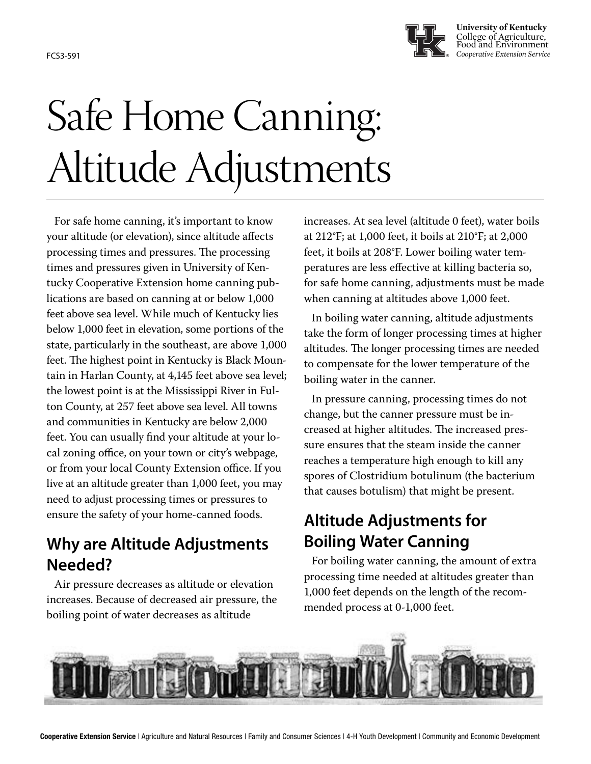

**University of Kentucky** College of Agriculture, Food and Environment FCS3-591 *Cooperative Extension Service*

# Safe Home Canning: Altitude Adjustments

For safe home canning, it's important to know your altitude (or elevation), since altitude affects processing times and pressures. The processing times and pressures given in University of Kentucky Cooperative Extension home canning publications are based on canning at or below 1,000 feet above sea level. While much of Kentucky lies below 1,000 feet in elevation, some portions of the state, particularly in the southeast, are above 1,000 feet. The highest point in Kentucky is Black Mountain in Harlan County, at 4,145 feet above sea level; the lowest point is at the Mississippi River in Fulton County, at 257 feet above sea level. All towns and communities in Kentucky are below 2,000 feet. You can usually find your altitude at your local zoning office, on your town or city's webpage, or from your local County Extension office. If you live at an altitude greater than 1,000 feet, you may need to adjust processing times or pressures to ensure the safety of your home-canned foods.

## **Why are Altitude Adjustments Needed?**

Air pressure decreases as altitude or elevation increases. Because of decreased air pressure, the boiling point of water decreases as altitude

increases. At sea level (altitude 0 feet), water boils at 212°F; at 1,000 feet, it boils at 210°F; at 2,000 feet, it boils at 208°F. Lower boiling water temperatures are less effective at killing bacteria so, for safe home canning, adjustments must be made when canning at altitudes above 1,000 feet.

In boiling water canning, altitude adjustments take the form of longer processing times at higher altitudes. The longer processing times are needed to compensate for the lower temperature of the boiling water in the canner.

In pressure canning, processing times do not change, but the canner pressure must be increased at higher altitudes. The increased pressure ensures that the steam inside the canner reaches a temperature high enough to kill any spores of Clostridium botulinum (the bacterium that causes botulism) that might be present.

## **Altitude Adjustments for Boiling Water Canning**

For boiling water canning, the amount of extra processing time needed at altitudes greater than 1,000 feet depends on the length of the recommended process at 0-1,000 feet.